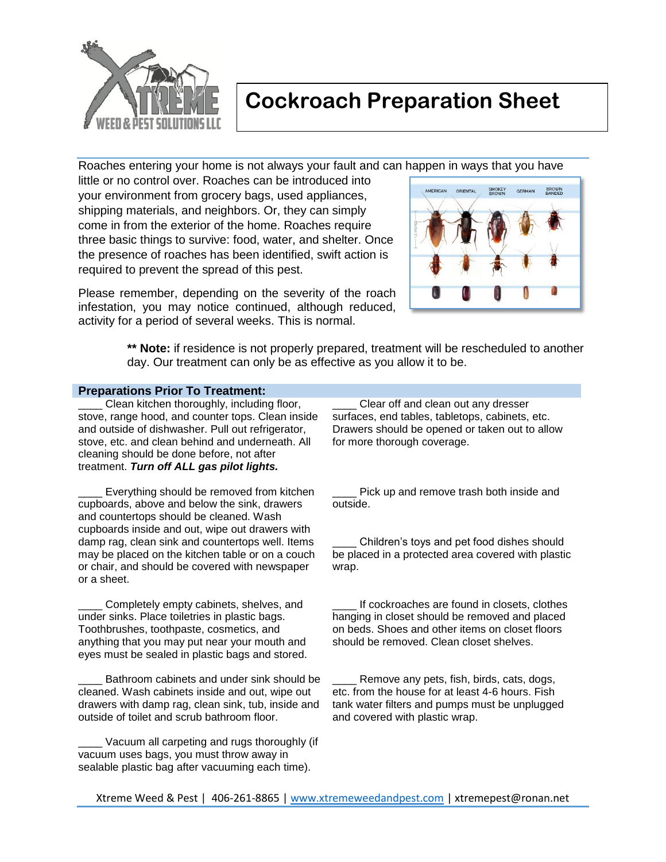

## **Cockroach Preparation Sheet**

Roaches entering your home is not always your fault and can happen in ways that you have

little or no control over. Roaches can be introduced into your environment from grocery bags, used appliances, shipping materials, and neighbors. Or, they can simply come in from the exterior of the home. Roaches require three basic things to survive: food, water, and shelter. Once the presence of roaches has been identified, swift action is required to prevent the spread of this pest.

Please remember, depending on the severity of the roach infestation, you may notice continued, although reduced, activity for a period of several weeks. This is normal.



**\*\* Note:** if residence is not properly prepared, treatment will be rescheduled to another day. Our treatment can only be as effective as you allow it to be.

#### **Preparations Prior To Treatment:**

Clean kitchen thoroughly, including floor, stove, range hood, and counter tops. Clean inside and outside of dishwasher. Pull out refrigerator, stove, etc. and clean behind and underneath. All cleaning should be done before, not after treatment. *Turn off ALL gas pilot lights.*

Everything should be removed from kitchen cupboards, above and below the sink, drawers and countertops should be cleaned. Wash cupboards inside and out, wipe out drawers with damp rag, clean sink and countertops well. Items may be placed on the kitchen table or on a couch or chair, and should be covered with newspaper or a sheet.

Completely empty cabinets, shelves, and under sinks. Place toiletries in plastic bags. Toothbrushes, toothpaste, cosmetics, and anything that you may put near your mouth and eyes must be sealed in plastic bags and stored.

Bathroom cabinets and under sink should be cleaned. Wash cabinets inside and out, wipe out drawers with damp rag, clean sink, tub, inside and outside of toilet and scrub bathroom floor.

Vacuum all carpeting and rugs thoroughly (if vacuum uses bags, you must throw away in sealable plastic bag after vacuuming each time).

Clear off and clean out any dresser surfaces, end tables, tabletops, cabinets, etc. Drawers should be opened or taken out to allow for more thorough coverage.

Pick up and remove trash both inside and outside.

\_\_\_\_ Children's toys and pet food dishes should be placed in a protected area covered with plastic wrap.

If cockroaches are found in closets, clothes hanging in closet should be removed and placed on beds. Shoes and other items on closet floors should be removed. Clean closet shelves.

Remove any pets, fish, birds, cats, dogs, etc. from the house for at least 4-6 hours. Fish tank water filters and pumps must be unplugged and covered with plastic wrap.

Xtreme Weed & Pest | 406-261-8865 | www.xtremeweedandpest.com | xtremepest@ronan.net